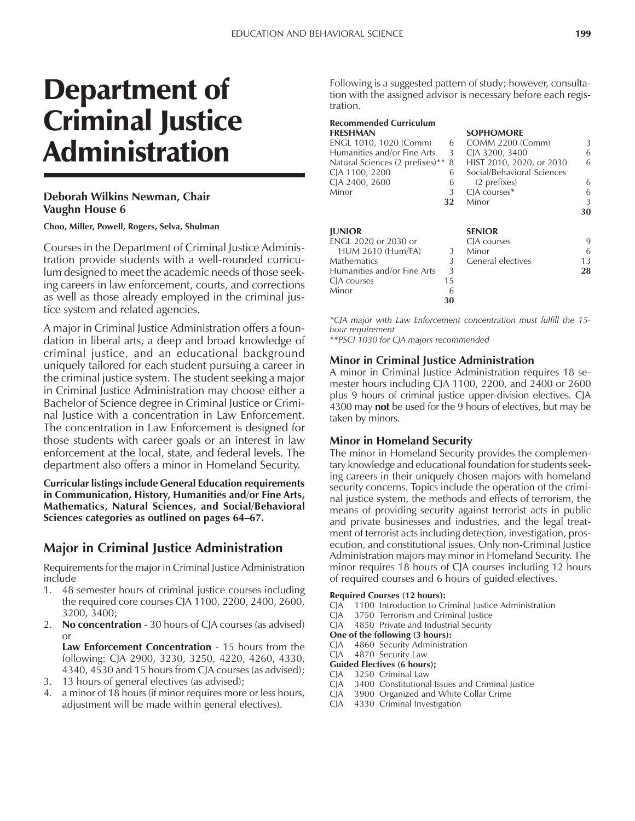# Department of Criminal Justice Administration

## **Deborah Wilkins Newman, Chair Vaughn House 6**

**Choo, Miller, Powell, Rogers, Selva, Shulman**

Courses in the Department of Criminal Justice Administration provide students with a well-rounded curriculum designed to meet the academic needs of those seeking careers in law enforcement, courts, and corrections as well as those already employed in the criminal justice system and related agencies.

A major in Criminal Justice Administration offers a foundation in liberal arts, a deep and broad knowledge of criminal justice, and an educational background uniquely tailored for each student pursuing a career in the criminal justice system. The student seeking a major in Criminal Justice Administration may choose either a Bachelor of Science degree in Criminal Justice or Criminal Justice with a concentration in Law Enforcement. The concentration in Law Enforcement is designed for those students with career goals or an interest in law enforcement at the local, state, and federal levels. The department also offers a minor in Homeland Security.

**Curricular listings include General Education requirements in Communication, History, Humanities and/or Fine Arts, Mathematics, Natural Sciences, and Social/Behavioral** Sciences categories as outlined on pages 64-67.

## **Major in Criminal Justice Administration**

Requirements for the major in Criminal Justice Administration include

- 1. 48 semester hours of criminal justice courses including the required core courses CJA 1100, 2200, 2400, 2600, 3200, 3400;
- 2. **No concentration**  30 hours of CJA courses (as advised) or

**Law Enforcement Concentration** - 15 hours from the following: CJA 2900, 3230, 3250, 4220, 4260, 4330, 4340, 4530 and 15 hours from CJA courses (as advised);

- 3. 13 hours of general electives (as advised);
- a minor of 18 hours (if minor requires more or less hours, adjustment will be made within general electives).

Following is a suggested pattern of study; however, consultation with the assigned advisor is necessary before each registration.

#### **Recommended Curriculum FRESHMAN SOPHOMORE**<br>ENGL 1010, 1020 (Comm) 6 COMM 2200 (Comm) ENGL 1010, 1020 (Comm) 6 COMM 2200 (Comm) 3 Humanities and/or Fine Arts 3 CJA 3200, 3400 6 Natural Sciences (2 prefixes)\*\* 8 HIST 2010, 2020, or 2030 6<br>CJA 1100, 2200 6 Social/Behavioral Sciences 6 Social/Behavioral Sciences CJA 2400, 2600 6 (2 prefixes) 6 Minor 3 CJA courses\* 6 **32** Minor 3 **30 JUNIOR SENIOR** ENGL 2020 or 2030 or CJA courses 9 HUM 2610 (Hum/FA) 3 Minor 6<br>athematics 3 General electives 13 Mathematics 3 General electives Humanities and/or Fine Arts 3 **28** CJA courses 15<br>
Minor 6 Minor **30**

*\*CJA major with Law Enforcement concentration must fulfill the 15 hour requirement*

*\*\*PSCI 1030 for CJA majors recommended*

#### **Minor in Criminal Justice Administration**

A minor in Criminal Justice Administration requires 18 semester hours including CJA 1100, 2200, and 2400 or 2600 plus 9 hours of criminal justice upper-division electives. CJA 4300 may **not** be used for the 9 hours of electives, but may be taken by minors.

### **Minor in Homeland Security**

The minor in Homeland Security provides the complementary knowledge and educational foundation for students seeking careers in their uniquely chosen majors with homeland security concerns. Topics include the operation of the criminal justice system, the methods and effects of terrorism, the means of providing security against terrorist acts in public and private businesses and industries, and the legal treatment of terrorist acts including detection, investigation, prosecution, and constitutional issues. Only non-Criminal Justice Administration majors may minor in Homeland Security. The minor requires 18 hours of CJA courses including 12 hours of required courses and 6 hours of guided electives.

#### **Required Courses (12 hours):**

- CJA 1100 Introduction to Criminal Justice Administration
- CJA 3750 Terrorism and Criminal Justice
- CJA 4850 Private and Industrial Security

**One of the following (3 hours):**

- CJA 4860 Security Administration
- CJA 4870 Security Law
- **Guided Electives (6 hours);** CJA 3250 Criminal Law
- CJA 3400 Constitutional Issues and Criminal Justice
- CJA 3900 Organized and White Collar Crime
- CJA 4330 Criminal Investigation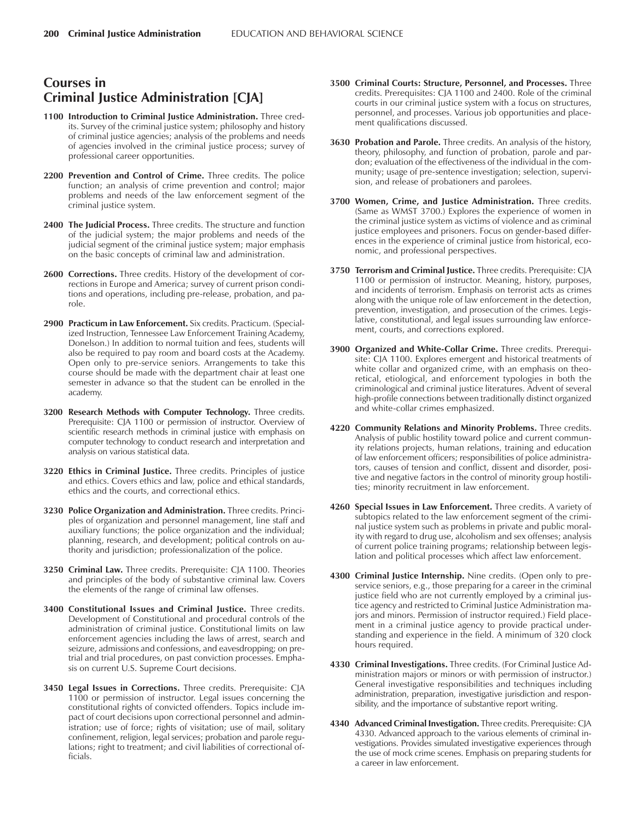# **Courses in Criminal Justice Administration [CJA]**

- **1100 Introduction to Criminal Justice Administration.** Three credits. Survey of the criminal justice system; philosophy and history of criminal justice agencies; analysis of the problems and needs of agencies involved in the criminal justice process; survey of professional career opportunities.
- **2200 Prevention and Control of Crime.** Three credits. The police function; an analysis of crime prevention and control; major problems and needs of the law enforcement segment of the criminal justice system.
- **2400 The Judicial Process.** Three credits. The structure and function of the judicial system; the major problems and needs of the judicial segment of the criminal justice system; major emphasis on the basic concepts of criminal law and administration.
- **2600 Corrections.** Three credits. History of the development of corrections in Europe and America; survey of current prison conditions and operations, including pre-release, probation, and parole.
- **2900 Practicum in Law Enforcement.** Six credits. Practicum. (Specialized Instruction, Tennessee Law Enforcement Training Academy, Donelson.) In addition to normal tuition and fees, students will also be required to pay room and board costs at the Academy. Open only to pre-service seniors. Arrangements to take this course should be made with the department chair at least one semester in advance so that the student can be enrolled in the academy.
- **3200 Research Methods with Computer Technology.** Three credits. Prerequisite: CJA 1100 or permission of instructor. Overview of scientific research methods in criminal justice with emphasis on computer technology to conduct research and interpretation and analysis on various statistical data.
- **3220 Ethics in Criminal Justice.** Three credits. Principles of justice and ethics. Covers ethics and law, police and ethical standards, ethics and the courts, and correctional ethics.
- **3230 Police Organization and Administration.** Three credits. Principles of organization and personnel management, line staff and auxiliary functions; the police organization and the individual; planning, research, and development; political controls on authority and jurisdiction; professionalization of the police.
- **3250 Criminal Law.** Three credits. Prerequisite: CJA 1100. Theories and principles of the body of substantive criminal law. Covers the elements of the range of criminal law offenses.
- **3400 Constitutional Issues and Criminal Justice.** Three credits. Development of Constitutional and procedural controls of the administration of criminal justice. Constitutional limits on law enforcement agencies including the laws of arrest, search and seizure, admissions and confessions, and eavesdropping; on pretrial and trial procedures, on past conviction processes. Emphasis on current U.S. Supreme Court decisions.
- **3450 Legal Issues in Corrections.** Three credits. Prerequisite: CJA 1100 or permission of instructor. Legal issues concerning the constitutional rights of convicted offenders. Topics include impact of court decisions upon correctional personnel and administration; use of force; rights of visitation; use of mail, solitary confinement, religion, legal services; probation and parole regulations; right to treatment; and civil liabilities of correctional officials.
- **3500 Criminal Courts: Structure, Personnel, and Processes.** Three credits. Prerequisites: CJA 1100 and 2400. Role of the criminal courts in our criminal justice system with a focus on structures, personnel, and processes. Various job opportunities and placement qualifications discussed.
- **3630 Probation and Parole.** Three credits. An analysis of the history, theory, philosophy, and function of probation, parole and pardon; evaluation of the effectiveness of the individual in the community; usage of pre-sentence investigation; selection, supervision, and release of probationers and parolees.
- **3700 Women, Crime, and Justice Administration.** Three credits. (Same as WMST 3700.) Explores the experience of women in the criminal justice system as victims of violence and as criminal justice employees and prisoners. Focus on gender-based differences in the experience of criminal justice from historical, economic, and professional perspectives.
- **3750 Terrorism and Criminal Justice.** Three credits. Prerequisite: CJA 1100 or permission of instructor. Meaning, history, purposes, and incidents of terrorism. Emphasis on terrorist acts as crimes along with the unique role of law enforcement in the detection, prevention, investigation, and prosecution of the crimes. Legislative, constitutional, and legal issues surrounding law enforcement, courts, and corrections explored.
- **3900 Organized and White-Collar Crime.** Three credits. Prerequisite: CJA 1100. Explores emergent and historical treatments of white collar and organized crime, with an emphasis on theoretical, etiological, and enforcement typologies in both the criminological and criminal justice literatures. Advent of several high-profile connections between traditionally distinct organized and white-collar crimes emphasized.
- **4220 Community Relations and Minority Problems.** Three credits. Analysis of public hostility toward police and current community relations projects, human relations, training and education of law enforcement officers; responsibilities of police administrators, causes of tension and conflict, dissent and disorder, positive and negative factors in the control of minority group hostilities; minority recruitment in law enforcement.
- **4260 Special Issues in Law Enforcement.** Three credits. A variety of subtopics related to the law enforcement segment of the criminal justice system such as problems in private and public morality with regard to drug use, alcoholism and sex offenses; analysis of current police training programs; relationship between legislation and political processes which affect law enforcement.
- **4300 Criminal Justice Internship.** Nine credits. (Open only to preservice seniors, e.g., those preparing for a career in the criminal justice field who are not currently employed by a criminal justice agency and restricted to Criminal Justice Administration majors and minors. Permission of instructor required.) Field placement in a criminal justice agency to provide practical understanding and experience in the field. A minimum of 320 clock hours required.
- **4330 Criminal Investigations.** Three credits. (For Criminal Justice Administration majors or minors or with permission of instructor.) General investigative responsibilities and techniques including administration, preparation, investigative jurisdiction and responsibility, and the importance of substantive report writing.
- **4340 Advanced Criminal Investigation.** Three credits. Prerequisite: CJA 4330. Advanced approach to the various elements of criminal investigations. Provides simulated investigative experiences through the use of mock crime scenes. Emphasis on preparing students for a career in law enforcement.